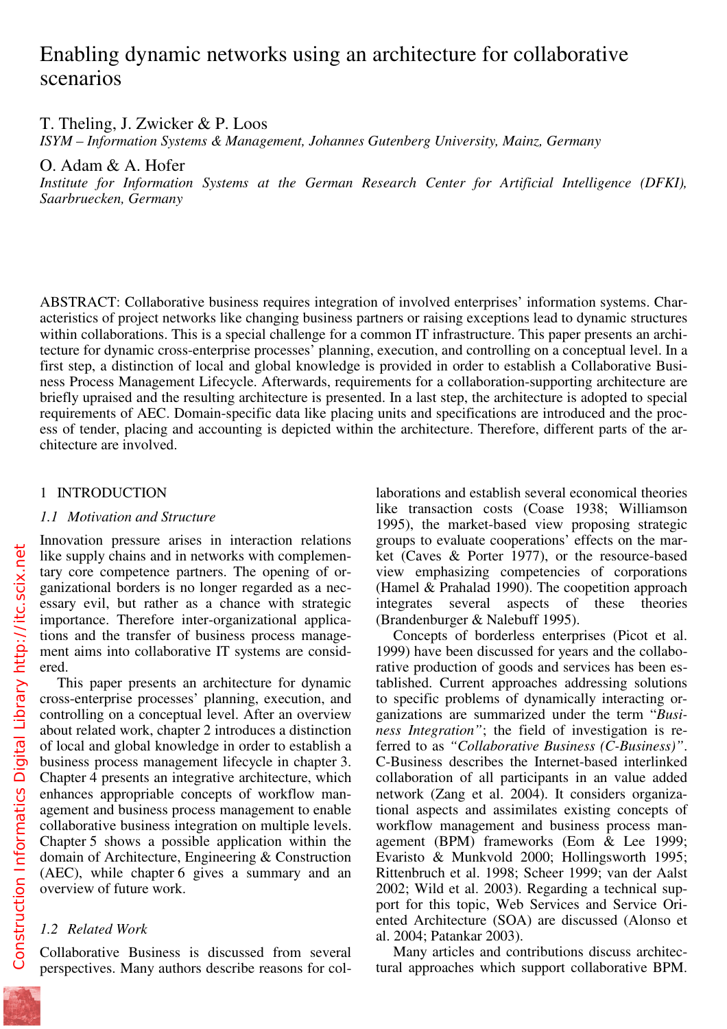# Enabling dynamic networks using an architecture for collaborative scenarios

T. Theling, J. Zwicker & P. Loos

*ISYM – Information Systems & Management, Johannes Gutenberg University, Mainz, Germany* 

O. Adam & A. Hofer

*Institute for Information Systems at the German Research Center for Artificial Intelligence (DFKI), Saarbruecken, Germany* 

ABSTRACT: Collaborative business requires integration of involved enterprises' information systems. Characteristics of project networks like changing business partners or raising exceptions lead to dynamic structures within collaborations. This is a special challenge for a common IT infrastructure. This paper presents an architecture for dynamic cross-enterprise processes' planning, execution, and controlling on a conceptual level. In a first step, a distinction of local and global knowledge is provided in order to establish a Collaborative Business Process Management Lifecycle. Afterwards, requirements for a collaboration-supporting architecture are briefly upraised and the resulting architecture is presented. In a last step, the architecture is adopted to special requirements of AEC. Domain-specific data like placing units and specifications are introduced and the process of tender, placing and accounting is depicted within the architecture. Therefore, different parts of the architecture are involved.

# 1 INTRODUCTION

# *1.1 Motivation and Structure*

Innovation pressure arises in interaction relations like supply chains and in networks with complementary core competence partners. The opening of organizational borders is no longer regarded as a necessary evil, but rather as a chance with strategic importance. Therefore inter-organizational applications and the transfer of business process management aims into collaborative IT systems are considered.

This paper presents an architecture for dynamic cross-enterprise processes' planning, execution, and controlling on a conceptual level. After an overview about related work, chapter 2 introduces a distinction of local and global knowledge in order to establish a business process management lifecycle in chapter 3. Chapter 4 presents an integrative architecture, which enhances appropriable concepts of workflow management and business process management to enable collaborative business integration on multiple levels. Chapter 5 shows a possible application within the domain of Architecture, Engineering & Construction (AEC), while chapter 6 gives a summary and an overview of future work.

# *1.2 Related Work*

Collaborative Business is discussed from several perspectives. Many authors describe reasons for collaborations and establish several economical theories like transaction costs (Coase 1938; Williamson 1995), the market-based view proposing strategic groups to evaluate cooperations' effects on the market (Caves & Porter 1977), or the resource-based view emphasizing competencies of corporations (Hamel & Prahalad 1990). The coopetition approach integrates several aspects of these theories (Brandenburger & Nalebuff 1995).

Concepts of borderless enterprises (Picot et al. 1999) have been discussed for years and the collaborative production of goods and services has been established. Current approaches addressing solutions to specific problems of dynamically interacting organizations are summarized under the term "*Business Integration"*; the field of investigation is referred to as *"Collaborative Business (C-Business)"*. C-Business describes the Internet-based interlinked collaboration of all participants in an value added network (Zang et al. 2004). It considers organizational aspects and assimilates existing concepts of workflow management and business process management (BPM) frameworks (Eom & Lee 1999; Evaristo & Munkvold 2000; Hollingsworth 1995; Rittenbruch et al. 1998; Scheer 1999; van der Aalst 2002; Wild et al. 2003). Regarding a technical support for this topic, Web Services and Service Oriented Architecture (SOA) are discussed (Alonso et al. 2004; Patankar 2003).

Many articles and contributions discuss architectural approaches which support collaborative BPM.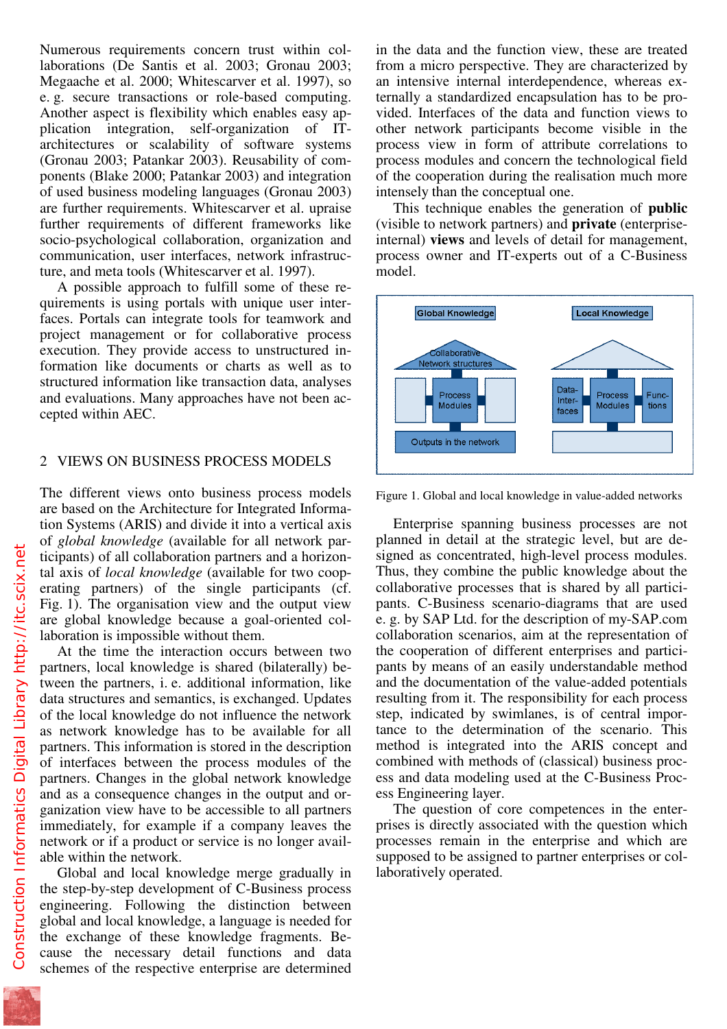Numerous requirements concern trust within collaborations (De Santis et al. 2003; Gronau 2003; Megaache et al. 2000; Whitescarver et al. 1997), so e. g. secure transactions or role-based computing. Another aspect is flexibility which enables easy application integration, self-organization of ITarchitectures or scalability of software systems (Gronau 2003; Patankar 2003). Reusability of components (Blake 2000; Patankar 2003) and integration of used business modeling languages (Gronau 2003) are further requirements. Whitescarver et al. upraise further requirements of different frameworks like socio-psychological collaboration, organization and communication, user interfaces, network infrastructure, and meta tools (Whitescarver et al. 1997).

A possible approach to fulfill some of these requirements is using portals with unique user interfaces. Portals can integrate tools for teamwork and project management or for collaborative process execution. They provide access to unstructured information like documents or charts as well as to structured information like transaction data, analyses and evaluations. Many approaches have not been accepted within AEC.

# 2 VIEWS ON BUSINESS PROCESS MODELS

The different views onto business process models are based on the Architecture for Integrated Information Systems (ARIS) and divide it into a vertical axis of *global knowledge* (available for all network participants) of all collaboration partners and a horizontal axis of *local knowledge* (available for two cooperating partners) of the single participants (cf. Fig. 1). The organisation view and the output view are global knowledge because a goal-oriented collaboration is impossible without them.

At the time the interaction occurs between two partners, local knowledge is shared (bilaterally) between the partners, i. e. additional information, like data structures and semantics, is exchanged. Updates of the local knowledge do not influence the network as network knowledge has to be available for all partners. This information is stored in the description of interfaces between the process modules of the partners. Changes in the global network knowledge and as a consequence changes in the output and organization view have to be accessible to all partners immediately, for example if a company leaves the network or if a product or service is no longer available within the network.

Global and local knowledge merge gradually in the step-by-step development of C-Business process engineering. Following the distinction between global and local knowledge, a language is needed for the exchange of these knowledge fragments. Because the necessary detail functions and data schemes of the respective enterprise are determined in the data and the function view, these are treated from a micro perspective. They are characterized by an intensive internal interdependence, whereas externally a standardized encapsulation has to be provided. Interfaces of the data and function views to other network participants become visible in the process view in form of attribute correlations to process modules and concern the technological field of the cooperation during the realisation much more intensely than the conceptual one.

This technique enables the generation of **public** (visible to network partners) and **private** (enterpriseinternal) **views** and levels of detail for management, process owner and IT-experts out of a C-Business model.



Figure 1. Global and local knowledge in value-added networks

Enterprise spanning business processes are not planned in detail at the strategic level, but are designed as concentrated, high-level process modules. Thus, they combine the public knowledge about the collaborative processes that is shared by all participants. C-Business scenario-diagrams that are used e. g. by SAP Ltd. for the description of my-SAP.com collaboration scenarios, aim at the representation of the cooperation of different enterprises and participants by means of an easily understandable method and the documentation of the value-added potentials resulting from it. The responsibility for each process step, indicated by swimlanes, is of central importance to the determination of the scenario. This method is integrated into the ARIS concept and combined with methods of (classical) business process and data modeling used at the C-Business Process Engineering layer.

The question of core competences in the enterprises is directly associated with the question which processes remain in the enterprise and which are supposed to be assigned to partner enterprises or collaboratively operated.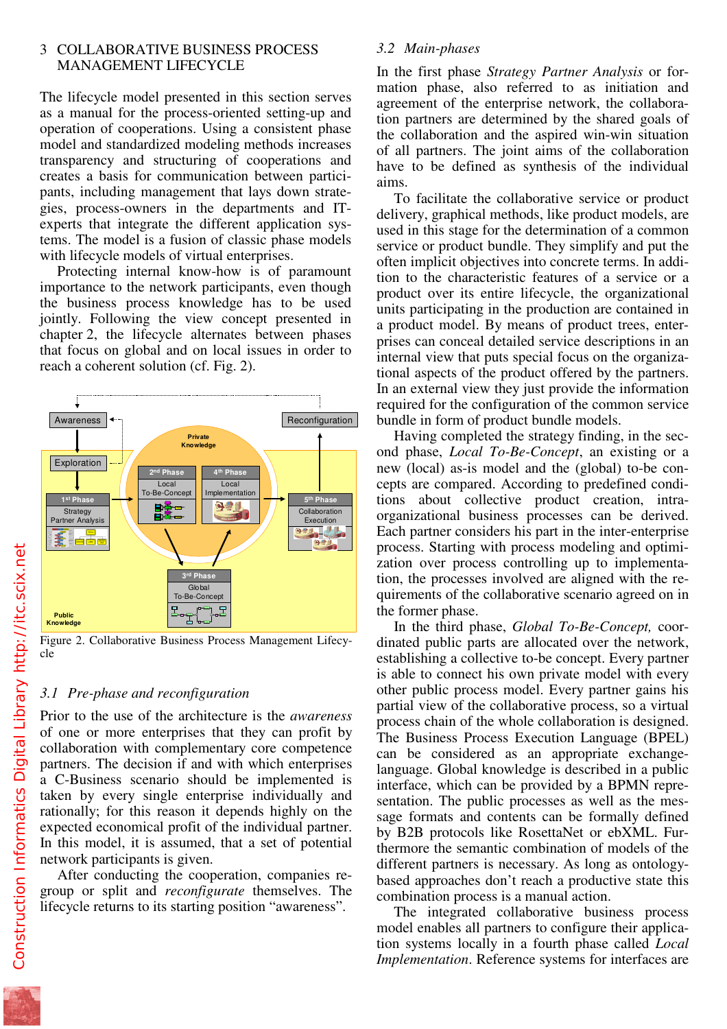# 3 COLLABORATIVE BUSINESS PROCESS MANAGEMENT LIFECYCLE

The lifecycle model presented in this section serves as a manual for the process-oriented setting-up and operation of cooperations. Using a consistent phase model and standardized modeling methods increases transparency and structuring of cooperations and creates a basis for communication between participants, including management that lays down strategies, process-owners in the departments and ITexperts that integrate the different application systems. The model is a fusion of classic phase models with lifecycle models of virtual enterprises.

Protecting internal know-how is of paramount importance to the network participants, even though the business process knowledge has to be used jointly. Following the view concept presented in chapter 2, the lifecycle alternates between phases that focus on global and on local issues in order to reach a coherent solution (cf. Fig. 2).



Figure 2. Collaborative Business Process Management Lifecycle

# *3.1 Pre-phase and reconfiguration*

Prior to the use of the architecture is the *awareness* of one or more enterprises that they can profit by collaboration with complementary core competence partners. The decision if and with which enterprises a C-Business scenario should be implemented is taken by every single enterprise individually and rationally; for this reason it depends highly on the expected economical profit of the individual partner. In this model, it is assumed, that a set of potential network participants is given.

After conducting the cooperation, companies regroup or split and *reconfigurate* themselves. The lifecycle returns to its starting position "awareness".

# *3.2 Main-phases*

In the first phase *Strategy Partner Analysis* or formation phase, also referred to as initiation and agreement of the enterprise network, the collaboration partners are determined by the shared goals of the collaboration and the aspired win-win situation of all partners. The joint aims of the collaboration have to be defined as synthesis of the individual aims.

To facilitate the collaborative service or product delivery, graphical methods, like product models, are used in this stage for the determination of a common service or product bundle. They simplify and put the often implicit objectives into concrete terms. In addition to the characteristic features of a service or a product over its entire lifecycle, the organizational units participating in the production are contained in a product model. By means of product trees, enterprises can conceal detailed service descriptions in an internal view that puts special focus on the organizational aspects of the product offered by the partners. In an external view they just provide the information required for the configuration of the common service bundle in form of product bundle models.

Having completed the strategy finding, in the second phase, *Local To-Be-Concept*, an existing or a new (local) as-is model and the (global) to-be concepts are compared. According to predefined conditions about collective product creation, intraorganizational business processes can be derived. Each partner considers his part in the inter-enterprise process. Starting with process modeling and optimization over process controlling up to implementation, the processes involved are aligned with the requirements of the collaborative scenario agreed on in the former phase.

In the third phase, *Global To-Be-Concept,* coordinated public parts are allocated over the network, establishing a collective to-be concept. Every partner is able to connect his own private model with every other public process model. Every partner gains his partial view of the collaborative process, so a virtual process chain of the whole collaboration is designed. The Business Process Execution Language (BPEL) can be considered as an appropriate exchangelanguage. Global knowledge is described in a public interface, which can be provided by a BPMN representation. The public processes as well as the message formats and contents can be formally defined by B2B protocols like RosettaNet or ebXML. Furthermore the semantic combination of models of the different partners is necessary. As long as ontologybased approaches don't reach a productive state this combination process is a manual action.

The integrated collaborative business process model enables all partners to configure their application systems locally in a fourth phase called *Local Implementation*. Reference systems for interfaces are

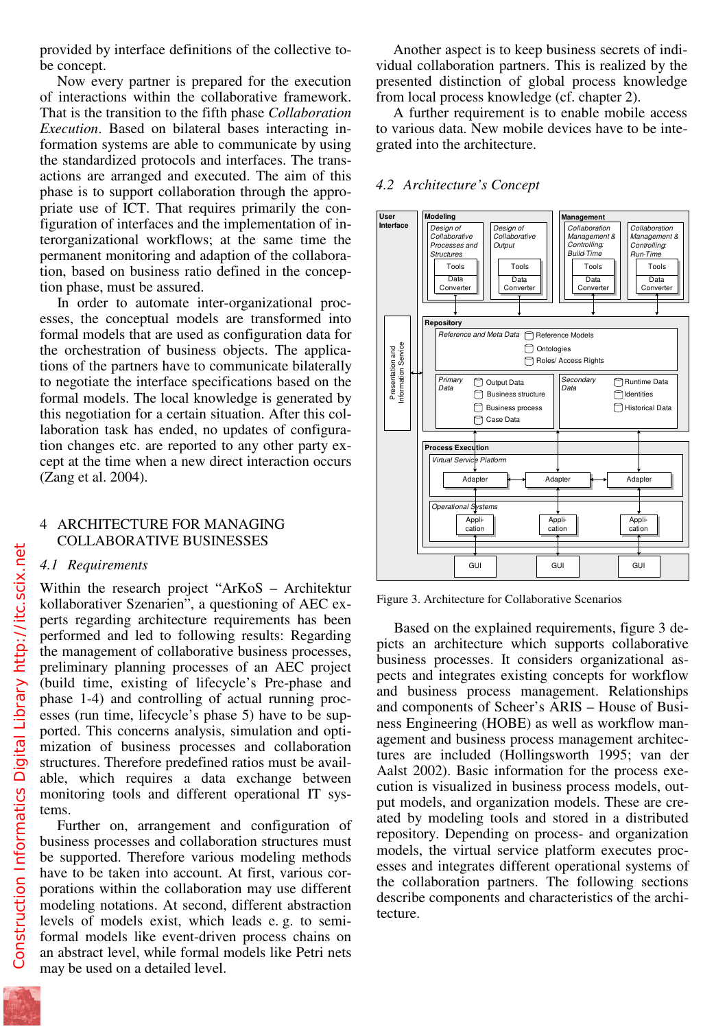provided by interface definitions of the collective tobe concept.

Now every partner is prepared for the execution of interactions within the collaborative framework. That is the transition to the fifth phase *Collaboration Execution*. Based on bilateral bases interacting information systems are able to communicate by using the standardized protocols and interfaces. The transactions are arranged and executed. The aim of this phase is to support collaboration through the appropriate use of ICT. That requires primarily the configuration of interfaces and the implementation of interorganizational workflows; at the same time the permanent monitoring and adaption of the collaboration, based on business ratio defined in the conception phase, must be assured.

In order to automate inter-organizational processes, the conceptual models are transformed into formal models that are used as configuration data for the orchestration of business objects. The applications of the partners have to communicate bilaterally to negotiate the interface specifications based on the formal models. The local knowledge is generated by this negotiation for a certain situation. After this collaboration task has ended, no updates of configuration changes etc. are reported to any other party except at the time when a new direct interaction occurs (Zang et al. 2004).

#### 4 ARCHITECTURE FOR MANAGING COLLABORATIVE BUSINESSES

#### *4.1 Requirements*

Within the research project "ArKoS – Architektur kollaborativer Szenarien", a questioning of AEC experts regarding architecture requirements has been performed and led to following results: Regarding the management of collaborative business processes, preliminary planning processes of an AEC project (build time, existing of lifecycle's Pre-phase and phase 1-4) and controlling of actual running processes (run time, lifecycle's phase 5) have to be supported. This concerns analysis, simulation and optimization of business processes and collaboration structures. Therefore predefined ratios must be available, which requires a data exchange between monitoring tools and different operational IT systems.

Further on, arrangement and configuration of business processes and collaboration structures must be supported. Therefore various modeling methods have to be taken into account. At first, various corporations within the collaboration may use different modeling notations. At second, different abstraction levels of models exist, which leads e. g. to semiformal models like event-driven process chains on an abstract level, while formal models like Petri nets may be used on a detailed level.

Another aspect is to keep business secrets of individual collaboration partners. This is realized by the presented distinction of global process knowledge from local process knowledge (cf. chapter 2).

A further requirement is to enable mobile access to various data. New mobile devices have to be integrated into the architecture.

#### *4.2 Architecture's Concept*



Figure 3. Architecture for Collaborative Scenarios

Based on the explained requirements, figure 3 depicts an architecture which supports collaborative business processes. It considers organizational aspects and integrates existing concepts for workflow and business process management. Relationships and components of Scheer's ARIS – House of Business Engineering (HOBE) as well as workflow management and business process management architectures are included (Hollingsworth 1995; van der Aalst 2002). Basic information for the process execution is visualized in business process models, output models, and organization models. These are created by modeling tools and stored in a distributed repository. Depending on process- and organization models, the virtual service platform executes processes and integrates different operational systems of the collaboration partners. The following sections describe components and characteristics of the architecture.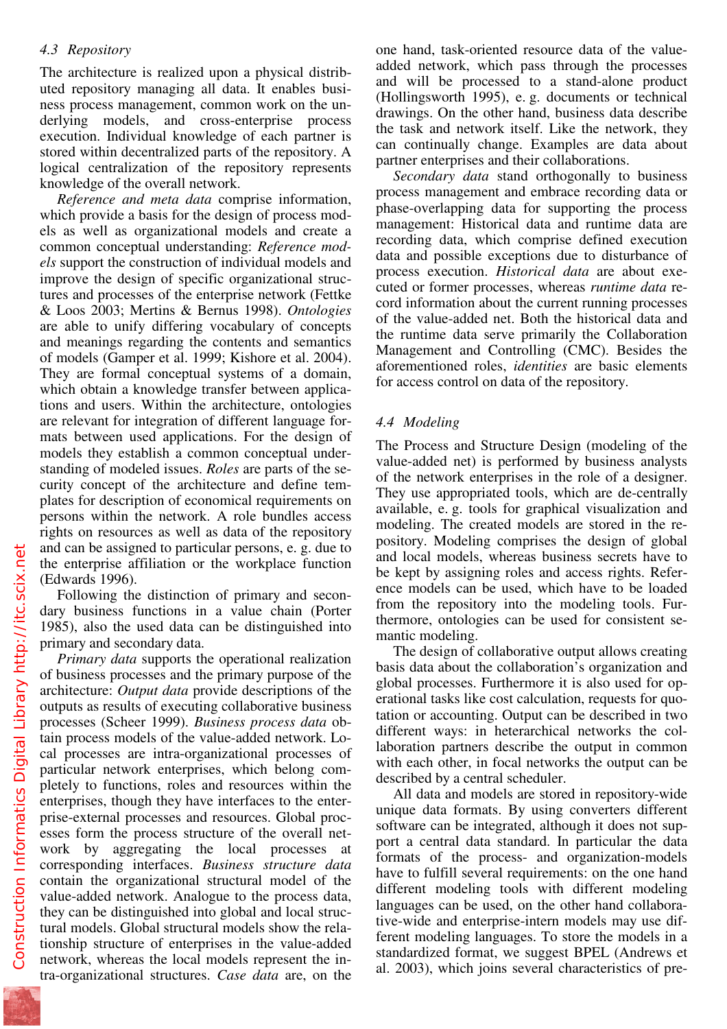## *4.3 Repository*

The architecture is realized upon a physical distributed repository managing all data. It enables business process management, common work on the underlying models, and cross-enterprise process execution. Individual knowledge of each partner is stored within decentralized parts of the repository. A logical centralization of the repository represents knowledge of the overall network.

*Reference and meta data* comprise information, which provide a basis for the design of process models as well as organizational models and create a common conceptual understanding: *Reference models* support the construction of individual models and improve the design of specific organizational structures and processes of the enterprise network (Fettke & Loos 2003; Mertins & Bernus 1998). *Ontologies* are able to unify differing vocabulary of concepts and meanings regarding the contents and semantics of models (Gamper et al. 1999; Kishore et al. 2004). They are formal conceptual systems of a domain, which obtain a knowledge transfer between applications and users. Within the architecture, ontologies are relevant for integration of different language formats between used applications. For the design of models they establish a common conceptual understanding of modeled issues. *Roles* are parts of the security concept of the architecture and define templates for description of economical requirements on persons within the network. A role bundles access rights on resources as well as data of the repository and can be assigned to particular persons, e. g. due to the enterprise affiliation or the workplace function (Edwards 1996).

Following the distinction of primary and secondary business functions in a value chain (Porter 1985), also the used data can be distinguished into primary and secondary data.

*Primary data* supports the operational realization of business processes and the primary purpose of the architecture: *Output data* provide descriptions of the outputs as results of executing collaborative business processes (Scheer 1999). *Business process data* obtain process models of the value-added network. Local processes are intra-organizational processes of particular network enterprises, which belong completely to functions, roles and resources within the enterprises, though they have interfaces to the enterprise-external processes and resources. Global processes form the process structure of the overall network by aggregating the local processes at corresponding interfaces. *Business structure data* contain the organizational structural model of the value-added network. Analogue to the process data, they can be distinguished into global and local structural models. Global structural models show the relationship structure of enterprises in the value-added network, whereas the local models represent the intra-organizational structures. *Case data* are, on the one hand, task-oriented resource data of the valueadded network, which pass through the processes and will be processed to a stand-alone product (Hollingsworth 1995), e. g. documents or technical drawings. On the other hand, business data describe the task and network itself. Like the network, they can continually change. Examples are data about partner enterprises and their collaborations.

*Secondary data* stand orthogonally to business process management and embrace recording data or phase-overlapping data for supporting the process management: Historical data and runtime data are recording data, which comprise defined execution data and possible exceptions due to disturbance of process execution. *Historical data* are about executed or former processes, whereas *runtime data* record information about the current running processes of the value-added net. Both the historical data and the runtime data serve primarily the Collaboration Management and Controlling (CMC). Besides the aforementioned roles, *identities* are basic elements for access control on data of the repository.

#### *4.4 Modeling*

The Process and Structure Design (modeling of the value-added net) is performed by business analysts of the network enterprises in the role of a designer. They use appropriated tools, which are de-centrally available, e. g. tools for graphical visualization and modeling. The created models are stored in the repository. Modeling comprises the design of global and local models, whereas business secrets have to be kept by assigning roles and access rights. Reference models can be used, which have to be loaded from the repository into the modeling tools. Furthermore, ontologies can be used for consistent semantic modeling.

The design of collaborative output allows creating basis data about the collaboration's organization and global processes. Furthermore it is also used for operational tasks like cost calculation, requests for quotation or accounting. Output can be described in two different ways: in heterarchical networks the collaboration partners describe the output in common with each other, in focal networks the output can be described by a central scheduler.

All data and models are stored in repository-wide unique data formats. By using converters different software can be integrated, although it does not support a central data standard. In particular the data formats of the process- and organization-models have to fulfill several requirements: on the one hand different modeling tools with different modeling languages can be used, on the other hand collaborative-wide and enterprise-intern models may use different modeling languages. To store the models in a standardized format, we suggest BPEL (Andrews et al. 2003), which joins several characteristics of pre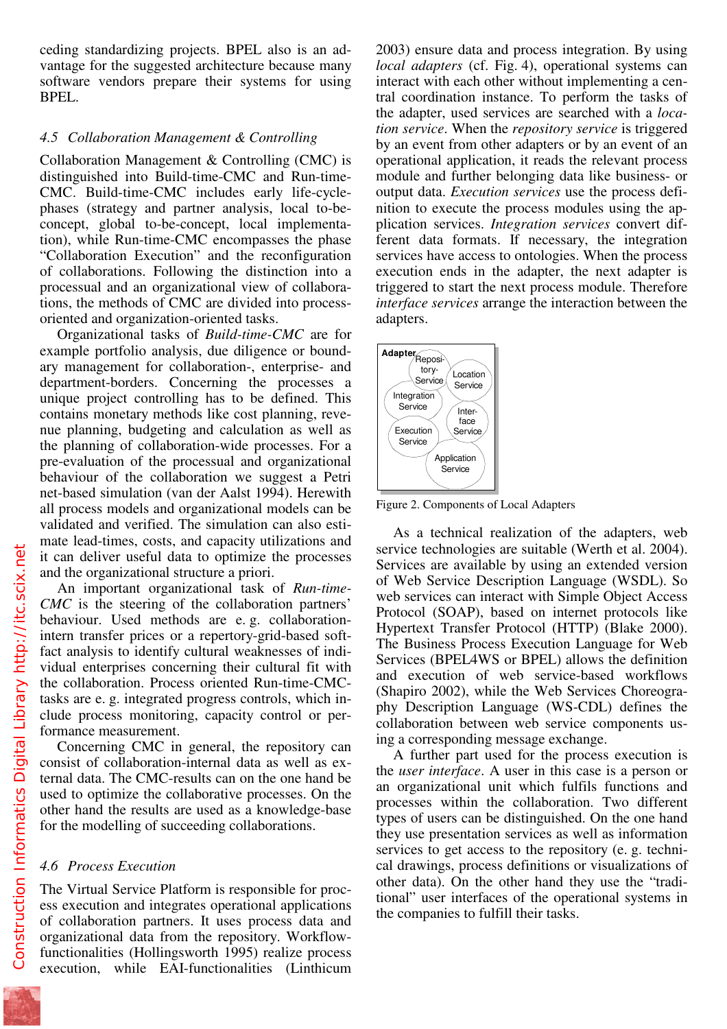ceding standardizing projects. BPEL also is an advantage for the suggested architecture because many software vendors prepare their systems for using BPEL.

# *4.5 Collaboration Management & Controlling*

Collaboration Management & Controlling (CMC) is distinguished into Build-time-CMC and Run-time-CMC. Build-time-CMC includes early life-cyclephases (strategy and partner analysis, local to-beconcept, global to-be-concept, local implementation), while Run-time-CMC encompasses the phase "Collaboration Execution" and the reconfiguration of collaborations. Following the distinction into a processual and an organizational view of collaborations, the methods of CMC are divided into processoriented and organization-oriented tasks.

Organizational tasks of *Build-time-CMC* are for example portfolio analysis, due diligence or boundary management for collaboration-, enterprise- and department-borders. Concerning the processes a unique project controlling has to be defined. This contains monetary methods like cost planning, revenue planning, budgeting and calculation as well as the planning of collaboration-wide processes. For a pre-evaluation of the processual and organizational behaviour of the collaboration we suggest a Petri net-based simulation (van der Aalst 1994). Herewith all process models and organizational models can be validated and verified. The simulation can also estimate lead-times, costs, and capacity utilizations and it can deliver useful data to optimize the processes and the organizational structure a priori.

An important organizational task of *Run-time-CMC* is the steering of the collaboration partners' behaviour. Used methods are e. g. collaborationintern transfer prices or a repertory-grid-based softfact analysis to identify cultural weaknesses of individual enterprises concerning their cultural fit with the collaboration. Process oriented Run-time-CMCtasks are e. g. integrated progress controls, which include process monitoring, capacity control or performance measurement.

Concerning CMC in general, the repository can consist of collaboration-internal data as well as external data. The CMC-results can on the one hand be used to optimize the collaborative processes. On the other hand the results are used as a knowledge-base for the modelling of succeeding collaborations.

# *4.6 Process Execution*

The Virtual Service Platform is responsible for process execution and integrates operational applications of collaboration partners. It uses process data and organizational data from the repository. Workflowfunctionalities (Hollingsworth 1995) realize process execution, while EAI-functionalities (Linthicum 2003) ensure data and process integration. By using *local adapters* (cf. Fig. 4), operational systems can interact with each other without implementing a central coordination instance. To perform the tasks of the adapter, used services are searched with a *location service*. When the *repository service* is triggered by an event from other adapters or by an event of an operational application, it reads the relevant process module and further belonging data like business- or output data. *Execution services* use the process definition to execute the process modules using the application services. *Integration services* convert different data formats. If necessary, the integration services have access to ontologies. When the process execution ends in the adapter, the next adapter is triggered to start the next process module. Therefore *interface services* arrange the interaction between the adapters.



Figure 2. Components of Local Adapters

As a technical realization of the adapters, web service technologies are suitable (Werth et al. 2004). Services are available by using an extended version of Web Service Description Language (WSDL). So web services can interact with Simple Object Access Protocol (SOAP), based on internet protocols like Hypertext Transfer Protocol (HTTP) (Blake 2000). The Business Process Execution Language for Web Services (BPEL4WS or BPEL) allows the definition and execution of web service-based workflows (Shapiro 2002), while the Web Services Choreography Description Language (WS-CDL) defines the collaboration between web service components using a corresponding message exchange.

A further part used for the process execution is the *user interface*. A user in this case is a person or an organizational unit which fulfils functions and processes within the collaboration. Two different types of users can be distinguished. On the one hand they use presentation services as well as information services to get access to the repository (e. g. technical drawings, process definitions or visualizations of other data). On the other hand they use the "traditional" user interfaces of the operational systems in the companies to fulfill their tasks.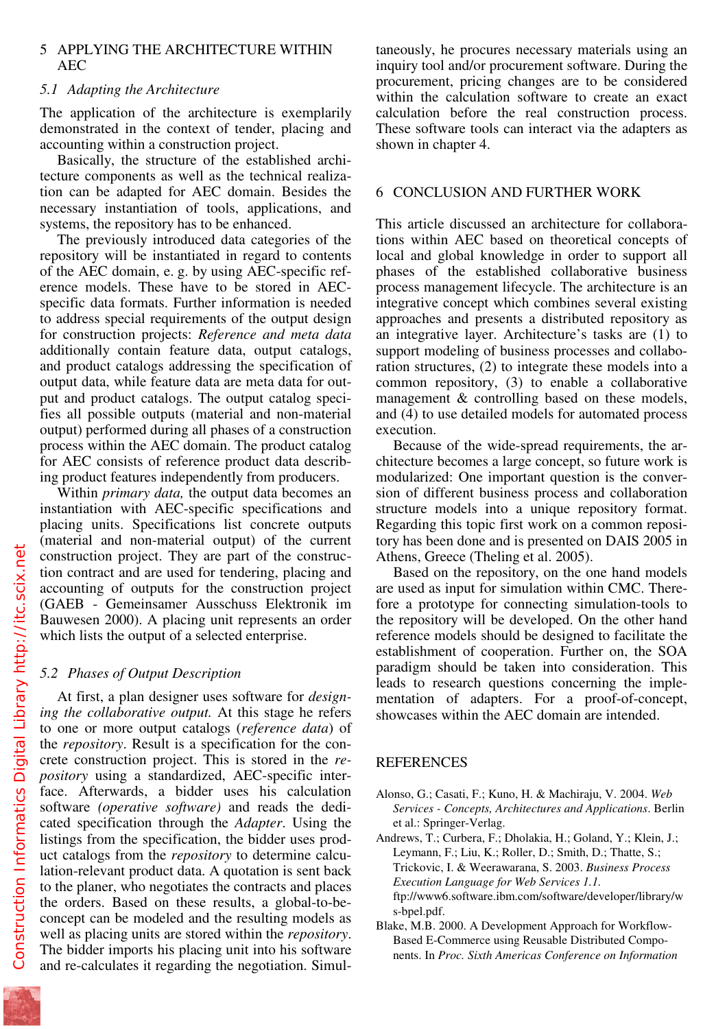# 5 APPLYING THE ARCHITECTURE WITHIN AEC

## *5.1 Adapting the Architecture*

The application of the architecture is exemplarily demonstrated in the context of tender, placing and accounting within a construction project.

Basically, the structure of the established architecture components as well as the technical realization can be adapted for AEC domain. Besides the necessary instantiation of tools, applications, and systems, the repository has to be enhanced.

The previously introduced data categories of the repository will be instantiated in regard to contents of the AEC domain, e. g. by using AEC-specific reference models. These have to be stored in AECspecific data formats. Further information is needed to address special requirements of the output design for construction projects: *Reference and meta data*  additionally contain feature data, output catalogs, and product catalogs addressing the specification of output data, while feature data are meta data for output and product catalogs. The output catalog specifies all possible outputs (material and non-material output) performed during all phases of a construction process within the AEC domain. The product catalog for AEC consists of reference product data describing product features independently from producers.

Within *primary data,* the output data becomes an instantiation with AEC-specific specifications and placing units. Specifications list concrete outputs (material and non-material output) of the current construction project. They are part of the construction contract and are used for tendering, placing and accounting of outputs for the construction project (GAEB - Gemeinsamer Ausschuss Elektronik im Bauwesen 2000). A placing unit represents an order which lists the output of a selected enterprise.

# *5.2 Phases of Output Description*

At first, a plan designer uses software for *designing the collaborative output.* At this stage he refers to one or more output catalogs (*reference data*) of the *repository*. Result is a specification for the concrete construction project. This is stored in the *repository* using a standardized, AEC-specific interface. Afterwards, a bidder uses his calculation software *(operative software)* and reads the dedicated specification through the *Adapter*. Using the listings from the specification, the bidder uses product catalogs from the *repository* to determine calculation-relevant product data. A quotation is sent back to the planer, who negotiates the contracts and places the orders. Based on these results, a global-to-beconcept can be modeled and the resulting models as well as placing units are stored within the *repository*. The bidder imports his placing unit into his software and re-calculates it regarding the negotiation. Simultaneously, he procures necessary materials using an inquiry tool and/or procurement software. During the procurement, pricing changes are to be considered within the calculation software to create an exact calculation before the real construction process. These software tools can interact via the adapters as shown in chapter 4.

# 6 CONCLUSION AND FURTHER WORK

This article discussed an architecture for collaborations within AEC based on theoretical concepts of local and global knowledge in order to support all phases of the established collaborative business process management lifecycle. The architecture is an integrative concept which combines several existing approaches and presents a distributed repository as an integrative layer. Architecture's tasks are (1) to support modeling of business processes and collaboration structures, (2) to integrate these models into a common repository, (3) to enable a collaborative management & controlling based on these models, and (4) to use detailed models for automated process execution.

Because of the wide-spread requirements, the architecture becomes a large concept, so future work is modularized: One important question is the conversion of different business process and collaboration structure models into a unique repository format. Regarding this topic first work on a common repository has been done and is presented on DAIS 2005 in Athens, Greece (Theling et al. 2005).

Based on the repository, on the one hand models are used as input for simulation within CMC. Therefore a prototype for connecting simulation-tools to the repository will be developed. On the other hand reference models should be designed to facilitate the establishment of cooperation. Further on, the SOA paradigm should be taken into consideration. This leads to research questions concerning the implementation of adapters. For a proof-of-concept, showcases within the AEC domain are intended.

# **REFERENCES**

- Alonso, G.; Casati, F.; Kuno, H. & Machiraju, V. 2004. *Web Services - Concepts, Architectures and Applications*. Berlin et al.: Springer-Verlag.
- Andrews, T.; Curbera, F.; Dholakia, H.; Goland, Y.; Klein, J.; Leymann, F.; Liu, K.; Roller, D.; Smith, D.; Thatte, S.; Trickovic, I. & Weerawarana, S. 2003. *Business Process Execution Language for Web Services 1.1.*  ftp://www6.software.ibm.com/software/developer/library/w s-bpel.pdf.
- Blake, M.B. 2000. A Development Approach for Workflow-Based E-Commerce using Reusable Distributed Components. In *Proc. Sixth Americas Conference on Information*